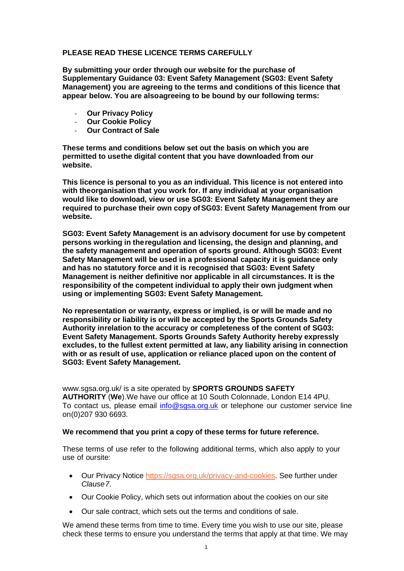## **PLEASE READ THESE LICENCE TERMS CAREFULLY**

**By submitting your order through our website for the purchase of Supplementary Guidance 03: Event Safety Management (SG03: Event Safety Management) you are agreeing to the terms and conditions of this licence that appear below. You are alsoagreeing to be bound by our following terms:**

- **Our Privacy Policy**
- **Our Cookie Policy**
- **Our Contract of Sale**

**These terms and conditions below set out the basis on which you are permitted to usethe digital content that you have downloaded from our website.**

**This licence is personal to you as an individual. This licence is not entered into with theorganisation that you work for. If any individual at your organisation would like to download, view or use SG03: Event Safety Management they are required to purchase their own copy ofSG03: Event Safety Management from our website.**

**SG03: Event Safety Management is an advisory document for use by competent persons working in theregulation and licensing, the design and planning, and the safety management and operation of sports ground. Although SG03: Event Safety Management will be used in a professional capacity it is guidance only and has no statutory force and it is recognised that SG03: Event Safety Management is neither definitive nor applicable in all circumstances. It is the responsibility of the competent individual to apply their own judgment when using or implementing SG03: Event Safety Management.**

**No representation or warranty, express or implied, is or will be made and no responsibility or liability is or will be accepted by the Sports Grounds Safety Authority inrelation to the accuracy or completeness of the content of SG03: Event Safety Management. Sports Grounds Safety Authority hereby expressly excludes, to the fullest extent permitted at law, any liability arising in connection with or as result of use, application or reliance placed upon on the content of SG03: Event Safety Management.**

[www.sgsa.org.uk/ i](http://www.sgsa.org.uk/)s a site operated by **SPORTS GROUNDS SAFETY AUTHORITY** (**We**).We have our office at 10 South Colonnade, London E14 4PU. To contact us, please email [info@sgsa.org.uk](mailto:info@sgsa.org.uk) or telephone our customer service line on(0)207 930 6693.

#### **We recommend that you print a copy of these terms for future reference.**

These terms of use refer to the following additional terms, which also apply to your use of oursite:

- Our Privacy Notice [https://sgsa.org.uk/privacy-and-cookies.](https://sgsa.org.uk/privacy-and-cookies/) See further under *Clause7*.
- Our Cookie Policy, which sets out information about the cookies on our site
- Our sale contract, which sets out the terms and conditions of sale.

We amend these terms from time to time. Every time you wish to use our site, please check these terms to ensure you understand the terms that apply at that time. We may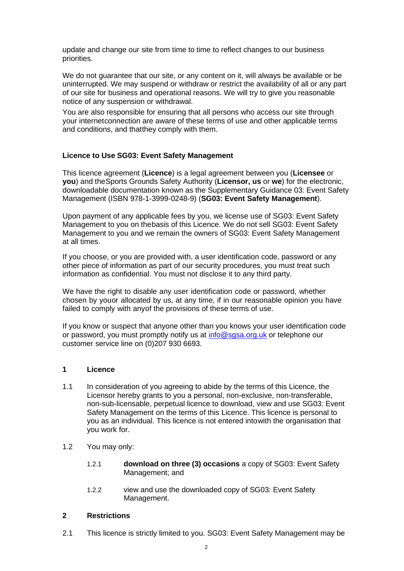update and change our site from time to time to reflect changes to our business priorities.

We do not guarantee that our site, or any content on it, will always be available or be uninterrupted. We may suspend or withdraw or restrict the availability of all or any part of our site for business and operational reasons. We will try to give you reasonable notice of any suspension or withdrawal.

You are also responsible for ensuring that all persons who access our site through your internetconnection are aware of these terms of use and other applicable terms and conditions, and thatthey comply with them.

# **Licence to Use SG03: Event Safety Management**

This licence agreement (**Licence**) is a legal agreement between you (**Licensee** or **you**) and theSports Grounds Safety Authority (**Licensor, us** or **we**) for the electronic, downloadable documentation known as the Supplementary Guidance 03: Event Safety Management (ISBN 978-1-3999-0248-9) (**SG03: Event Safety Management**).

Upon payment of any applicable fees by you, we license use of SG03: Event Safety Management to you on thebasis of this Licence. We do not sell SG03: Event Safety Management to you and we remain the owners of SG03: Event Safety Management at all times.

If you choose, or you are provided with, a user identification code, password or any other piece of information as part of our security procedures, you must treat such information as confidential. You must not disclose it to any third party.

We have the right to disable any user identification code or password, whether chosen by youor allocated by us, at any time, if in our reasonable opinion you have failed to comply with anyof the provisions of these terms of use.

If you know or suspect that anyone other than you knows your user identification code or password, you must promptly notify us at [info@sgsa.org.uk](mailto:info@sgsa.org.uk) or telephone our customer service line on (0)207 930 6693.

### **1 Licence**

- 1.1 In consideration of you agreeing to abide by the terms of this Licence, the Licensor hereby grants to you a personal, non-exclusive, non-transferable, non-sub-licensable, perpetual licence to download, view and use SG03: Event Safety Management on the terms of this Licence. This licence is personal to you as an individual. This licence is not entered intowith the organisation that you work for.
- 1.2 You may only:
	- 1.2.1 **download on three (3) occasions** a copy of SG03: Event Safety Management; and
	- 1.2.2 view and use the downloaded copy of SG03: Event Safety Management.

### **2 Restrictions**

2.1 This licence is strictly limited to you. SG03: Event Safety Management may be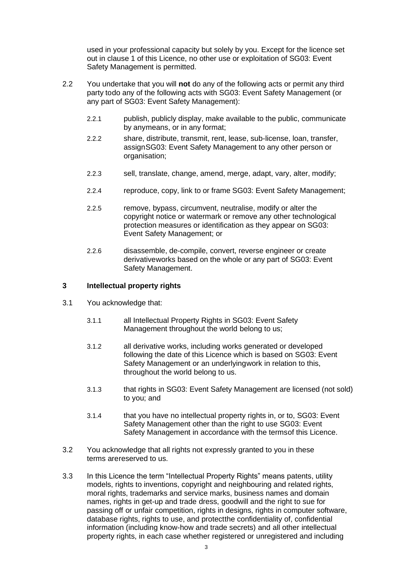used in your professional capacity but solely by you. Except for the licence set out in clause 1 of this Licence, no other use or exploitation of SG03: Event Safety Management is permitted.

- 2.2 You undertake that you will **not** do any of the following acts or permit any third party todo any of the following acts with SG03: Event Safety Management (or any part of SG03: Event Safety Management):
	- 2.2.1 publish, publicly display, make available to the public, communicate by anymeans, or in any format;
	- 2.2.2 share, distribute, transmit, rent, lease, sub-license, loan, transfer, assignSG03: Event Safety Management to any other person or organisation;
	- 2.2.3 sell, translate, change, amend, merge, adapt, vary, alter, modify;
	- 2.2.4 reproduce, copy, link to or frame SG03: Event Safety Management;
	- 2.2.5 remove, bypass, circumvent, neutralise, modify or alter the copyright notice or watermark or remove any other technological protection measures or identification as they appear on SG03: Event Safety Management; or
	- 2.2.6 disassemble, de-compile, convert, reverse engineer or create derivativeworks based on the whole or any part of SG03: Event Safety Management.

### **3 Intellectual property rights**

- 3.1 You acknowledge that:
	- 3.1.1 all Intellectual Property Rights in SG03: Event Safety Management throughout the world belong to us;
	- 3.1.2 all derivative works, including works generated or developed following the date of this Licence which is based on SG03: Event Safety Management or an underlyingwork in relation to this, throughout the world belong to us.
	- 3.1.3 that rights in SG03: Event Safety Management are licensed (not sold) to you; and
	- 3.1.4 that you have no intellectual property rights in, or to, SG03: Event Safety Management other than the right to use SG03: Event Safety Management in accordance with the termsof this Licence.
- 3.2 You acknowledge that all rights not expressly granted to you in these terms arereserved to us.
- 3.3 In this Licence the term "Intellectual Property Rights" means patents, utility models, rights to inventions, copyright and neighbouring and related rights, moral rights, trademarks and service marks, business names and domain names, rights in get-up and trade dress, goodwill and the right to sue for passing off or unfair competition, rights in designs, rights in computer software, database rights, rights to use, and protectthe confidentiality of, confidential information (including know-how and trade secrets) and all other intellectual property rights, in each case whether registered or unregistered and including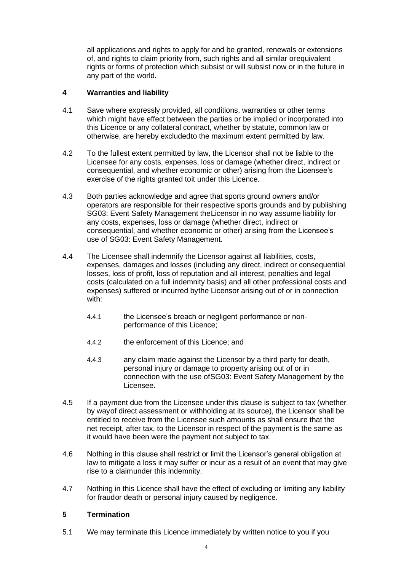all applications and rights to apply for and be granted, renewals or extensions of, and rights to claim priority from, such rights and all similar orequivalent rights or forms of protection which subsist or will subsist now or in the future in any part of the world.

# **4 Warranties and liability**

- 4.1 Save where expressly provided, all conditions, warranties or other terms which might have effect between the parties or be implied or incorporated into this Licence or any collateral contract, whether by statute, common law or otherwise, are hereby excludedto the maximum extent permitted by law.
- 4.2 To the fullest extent permitted by law, the Licensor shall not be liable to the Licensee for any costs, expenses, loss or damage (whether direct, indirect or consequential, and whether economic or other) arising from the Licensee's exercise of the rights granted toit under this Licence.
- 4.3 Both parties acknowledge and agree that sports ground owners and/or operators are responsible for their respective sports grounds and by publishing SG03: Event Safety Management theLicensor in no way assume liability for any costs, expenses, loss or damage (whether direct, indirect or consequential, and whether economic or other) arising from the Licensee's use of SG03: Event Safety Management.
- 4.4 The Licensee shall indemnify the Licensor against all liabilities, costs, expenses, damages and losses (including any direct, indirect or consequential losses, loss of profit, loss of reputation and all interest, penalties and legal costs (calculated on a full indemnity basis) and all other professional costs and expenses) suffered or incurred bythe Licensor arising out of or in connection with:
	- 4.4.1 the Licensee's breach or negligent performance or nonperformance of this Licence;
	- 4.4.2 the enforcement of this Licence; and
	- 4.4.3 any claim made against the Licensor by a third party for death, personal injury or damage to property arising out of or in connection with the use ofSG03: Event Safety Management by the Licensee.
- 4.5 If a payment due from the Licensee under this clause is subject to tax (whether by wayof direct assessment or withholding at its source), the Licensor shall be entitled to receive from the Licensee such amounts as shall ensure that the net receipt, after tax, to the Licensor in respect of the payment is the same as it would have been were the payment not subject to tax.
- 4.6 Nothing in this clause shall restrict or limit the Licensor's general obligation at law to mitigate a loss it may suffer or incur as a result of an event that may give rise to a claimunder this indemnity.
- 4.7 Nothing in this Licence shall have the effect of excluding or limiting any liability for fraudor death or personal injury caused by negligence.

# **5 Termination**

5.1 We may terminate this Licence immediately by written notice to you if you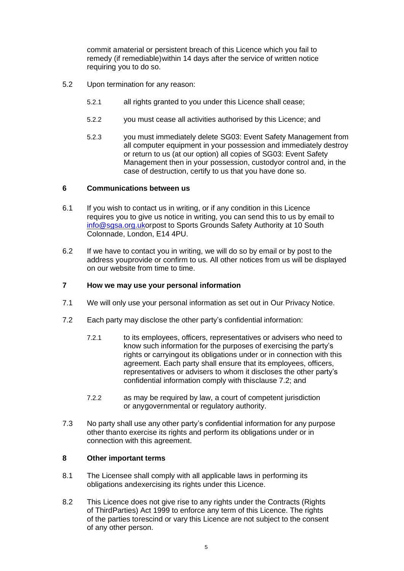commit amaterial or persistent breach of this Licence which you fail to remedy (if remediable)within 14 days after the service of written notice requiring you to do so.

- 5.2 Upon termination for any reason:
	- 5.2.1 all rights granted to you under this Licence shall cease;
	- 5.2.2 you must cease all activities authorised by this Licence; and
	- 5.2.3 you must immediately delete SG03: Event Safety Management from all computer equipment in your possession and immediately destroy or return to us (at our option) all copies of SG03: Event Safety Management then in your possession, custodyor control and, in the case of destruction, certify to us that you have done so.

# **6 Communications between us**

- 6.1 If you wish to contact us in writing, or if any condition in this Licence requires you to give us notice in writing, you can send this to us by email to [info@sgsa.org.uko](mailto:info@sgsa.org.uk)rpost to Sports Grounds Safety Authority at 10 South Colonnade, London, E14 4PU.
- 6.2 If we have to contact you in writing, we will do so by email or by post to the address youprovide or confirm to us. All other notices from us will be displayed on our website from time to time.

# **7 How we may use your personal information**

- 7.1 We will only use your personal information as set out in Our Privacy Notice.
- 7.2 Each party may disclose the other party's confidential information:
	- 7.2.1 to its employees, officers, representatives or advisers who need to know such information for the purposes of exercising the party's rights or carryingout its obligations under or in connection with this agreement. Each party shall ensure that its employees, officers, representatives or advisers to whom it discloses the other party's confidential information comply with thisclause 7.2; and
	- 7.2.2 as may be required by law, a court of competent jurisdiction or anygovernmental or regulatory authority.
- 7.3 No party shall use any other party's confidential information for any purpose other thanto exercise its rights and perform its obligations under or in connection with this agreement.

# **8 Other important terms**

- 8.1 The Licensee shall comply with all applicable laws in performing its obligations andexercising its rights under this Licence.
- 8.2 This Licence does not give rise to any rights under the Contracts (Rights of ThirdParties) Act 1999 to enforce any term of this Licence. The rights of the parties torescind or vary this Licence are not subject to the consent of any other person.